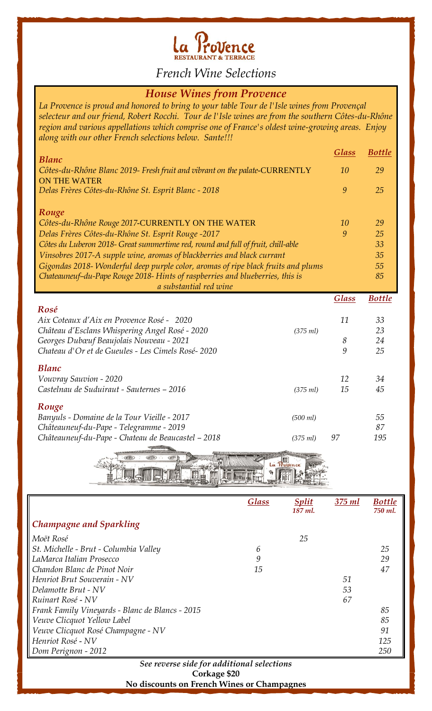

*French Wine Selections*

## *House Wines from Provence*

*La Provence is proud and honored to bring to your table Tour de l'Isle wines from Provençal selecteur and our friend, Robert Rocchi. Tour de l'Isle wines are from the southern Côtes-du-Rhône region and various appellations which comprise one of France's oldest wine-growing areas. Enjoy along with our other French selections below. Sante!!!*

| <b>Blanc</b>                                                                                      |          | <b>Glass</b> | <b>Bottle</b> |
|---------------------------------------------------------------------------------------------------|----------|--------------|---------------|
| Côtes-du-Rhône Blanc 2019- Fresh fruit and vibrant on the palate-CURRENTLY<br><b>ON THE WATER</b> |          | 10           | 29            |
| Delas Frères Côtes-du-Rhône St. Esprit Blanc - 2018                                               |          | 9            | 25            |
| Rouge                                                                                             |          |              |               |
| Côtes-du-Rhône Rouge 2017-CURRENTLY ON THE WATER                                                  |          | 10           | 29            |
| Delas Frères Côtes-du-Rhône St. Esprit Rouge -2017                                                |          | 9            | 25            |
| Côtes du Luberon 2018- Great summertime red, round and full of fruit, chill-able                  |          |              | 33            |
| Vinsobres 2017-A supple wine, aromas of blackberries and black currant                            |          |              | 35            |
| Gigondas 2018- Wonderful deep purple color, aromas of ripe black fruits and plums                 |          |              | 55            |
| Chateauneuf-du-Pape Rouge 2018- Hints of raspberries and blueberries, this is                     |          |              | 85            |
| a substantial red wine                                                                            |          |              |               |
|                                                                                                   |          | <b>Glass</b> | <b>Bottle</b> |
| Rosé                                                                                              |          |              |               |
|                                                                                                   |          |              |               |
| Aix Coteaux d'Aix en Provence Rosé - 2020                                                         |          | 11           | 33            |
| Château d'Esclans Whispering Angel Rosé - 2020                                                    | (375 ml) |              | 23            |
| Georges Dubœuf Beaujolais Nouveau - 2021                                                          |          | 8            | 24            |
| Chateau d'Or et de Gueules - Les Cimels Rosé-2020                                                 |          | 9            | 25            |
|                                                                                                   |          |              |               |
| <b>Blanc</b>                                                                                      |          |              |               |
| Vouvray Sauvion - 2020                                                                            |          | 12           | 34            |
| Castelnau de Suduiraut - Sauternes - 2016                                                         | (375 ml) | 15           | 45            |
| Rouge                                                                                             |          |              |               |
| Banyuls - Domaine de la Tour Vieille - 2017                                                       | (500 ml) |              | 55            |
| Châteauneuf-du-Pape - Telegramme - 2019                                                           |          |              | 87            |
| Châteauneuf-du-Pape - Chateau de Beaucastel - 2018                                                | (375 ml) | 97           | 195           |

耳点的

|                                                 | <b>Glass</b> | <b>Split</b> | $375$ $ml$ | <b>Bottle</b> |
|-------------------------------------------------|--------------|--------------|------------|---------------|
|                                                 |              | 187 ml.      |            | 750 ml.       |
| Champagne and Sparkling                         |              |              |            |               |
| Moët Rosé                                       |              | 25           |            |               |
| St. Michelle - Brut - Columbia Valley           | 6            |              |            | 25            |
| LaMarca Italian Prosecco                        | 9            |              |            | 29            |
| Chandon Blanc de Pinot Noir                     | 15           |              |            | 47            |
| Henriot Brut Souverain - NV                     |              |              | 51         |               |
| Delamotte Brut - NV                             |              |              | 53         |               |
| Ruinart Rosé - NV                               |              |              | 67         |               |
| Frank Family Vineyards - Blanc de Blancs - 2015 |              |              |            | 85            |
| Veuve Clicquot Yellow Label                     |              |              |            | 85            |
| Veuve Clicquot Rosé Champagne - NV              |              |              |            | 91            |
| Henriot Rosé - NV                               |              |              |            | 125           |
| Dom Perignon - 2012                             |              |              |            | 250           |

## *See reverse side for additional selections* **Corkage \$20 No discounts on French Wines or Champagnes**